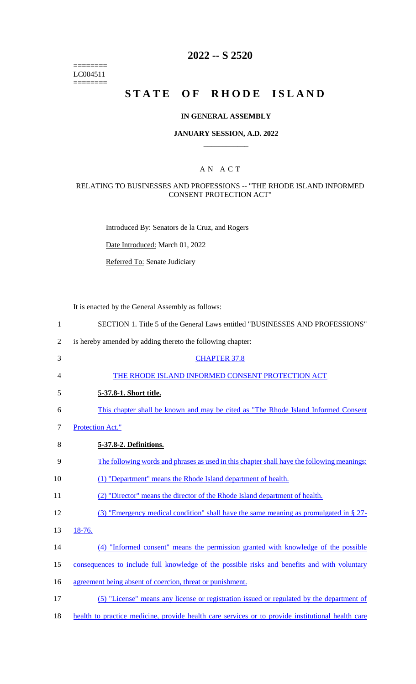======== LC004511  $=$ 

# **2022 -- S 2520**

# **STATE OF RHODE ISLAND**

### **IN GENERAL ASSEMBLY**

### **JANUARY SESSION, A.D. 2022 \_\_\_\_\_\_\_\_\_\_\_\_**

### A N A C T

### RELATING TO BUSINESSES AND PROFESSIONS -- "THE RHODE ISLAND INFORMED CONSENT PROTECTION ACT"

Introduced By: Senators de la Cruz, and Rogers

Date Introduced: March 01, 2022

Referred To: Senate Judiciary

It is enacted by the General Assembly as follows:

| $\mathbf{1}$   | SECTION 1. Title 5 of the General Laws entitled "BUSINESSES AND PROFESSIONS"                      |
|----------------|---------------------------------------------------------------------------------------------------|
| $\overline{2}$ | is hereby amended by adding thereto the following chapter:                                        |
| 3              | <b>CHAPTER 37.8</b>                                                                               |
| 4              | THE RHODE ISLAND INFORMED CONSENT PROTECTION ACT                                                  |
| 5              | 5-37.8-1. Short title.                                                                            |
| 6              | This chapter shall be known and may be cited as "The Rhode Island Informed Consent                |
| $\overline{7}$ | <b>Protection Act."</b>                                                                           |
| 8              | 5-37.8-2. Definitions.                                                                            |
| 9              | The following words and phrases as used in this chapter shall have the following meanings:        |
| 10             | (1) "Department" means the Rhode Island department of health.                                     |
| 11             | (2) "Director" means the director of the Rhode Island department of health.                       |
| 12             | (3) "Emergency medical condition" shall have the same meaning as promulgated in $\S 27$ -         |
| 13             | 18-76.                                                                                            |
| 14             | (4) "Informed consent" means the permission granted with knowledge of the possible                |
| 15             | consequences to include full knowledge of the possible risks and benefits and with voluntary      |
| 16             | agreement being absent of coercion, threat or punishment.                                         |
| 17             | (5) "License" means any license or registration issued or regulated by the department of          |
| 18             | health to practice medicine, provide health care services or to provide institutional health care |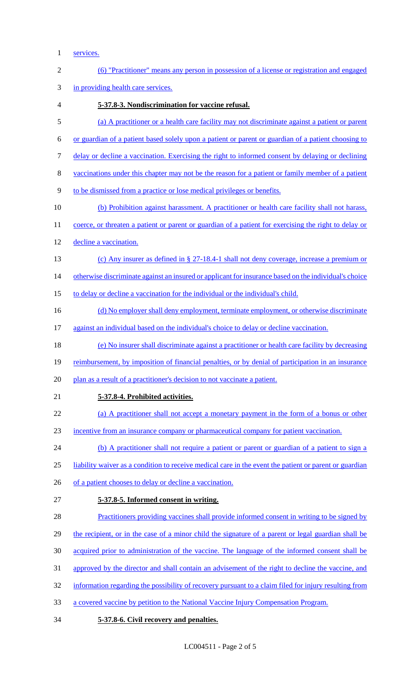1 services.

| $\mathbf{2}$ | (6) "Practitioner" means any person in possession of a license or registration and engaged             |
|--------------|--------------------------------------------------------------------------------------------------------|
| 3            | in providing health care services.                                                                     |
| 4            | 5-37.8-3. Nondiscrimination for vaccine refusal.                                                       |
| 5            | (a) A practitioner or a health care facility may not discriminate against a patient or parent          |
| 6            | or guardian of a patient based solely upon a patient or parent or guardian of a patient choosing to    |
| 7            | delay or decline a vaccination. Exercising the right to informed consent by delaying or declining      |
| $8\,$        | vaccinations under this chapter may not be the reason for a patient or family member of a patient      |
| 9            | to be dismissed from a practice or lose medical privileges or benefits.                                |
| 10           | (b) Prohibition against harassment. A practitioner or health care facility shall not harass,           |
| 11           | coerce, or threaten a patient or parent or guardian of a patient for exercising the right to delay or  |
| 12           | decline a vaccination.                                                                                 |
| 13           | (c) Any insurer as defined in $\S 27$ -18.4-1 shall not deny coverage, increase a premium or           |
| 14           | otherwise discriminate against an insured or applicant for insurance based on the individual's choice  |
| 15           | to delay or decline a vaccination for the individual or the individual's child.                        |
| 16           | (d) No employer shall deny employment, terminate employment, or otherwise discriminate                 |
| 17           | against an individual based on the individual's choice to delay or decline vaccination.                |
| 18           | (e) No insurer shall discriminate against a practitioner or health care facility by decreasing         |
| 19           | reimbursement, by imposition of financial penalties, or by denial of participation in an insurance     |
| 20           | plan as a result of a practitioner's decision to not vaccinate a patient.                              |
| 21           | 5-37.8-4. Prohibited activities.                                                                       |
| 22           | (a) A practitioner shall not accept a monetary payment in the form of a bonus or other                 |
| 23           | incentive from an insurance company or pharmaceutical company for patient vaccination.                 |
| 24           | (b) A practitioner shall not require a patient or parent or guardian of a patient to sign a            |
| 25           | liability waiver as a condition to receive medical care in the event the patient or parent or guardian |
| 26           | of a patient chooses to delay or decline a vaccination.                                                |
| 27           | 5-37.8-5. Informed consent in writing.                                                                 |
| 28           | Practitioners providing vaccines shall provide informed consent in writing to be signed by             |
| 29           | the recipient, or in the case of a minor child the signature of a parent or legal guardian shall be    |
| 30           | acquired prior to administration of the vaccine. The language of the informed consent shall be         |
| 31           | approved by the director and shall contain an advisement of the right to decline the vaccine, and      |
| 32           | information regarding the possibility of recovery pursuant to a claim filed for injury resulting from  |
| 33           | a covered vaccine by petition to the National Vaccine Injury Compensation Program.                     |
| 34           | 5-37.8-6. Civil recovery and penalties.                                                                |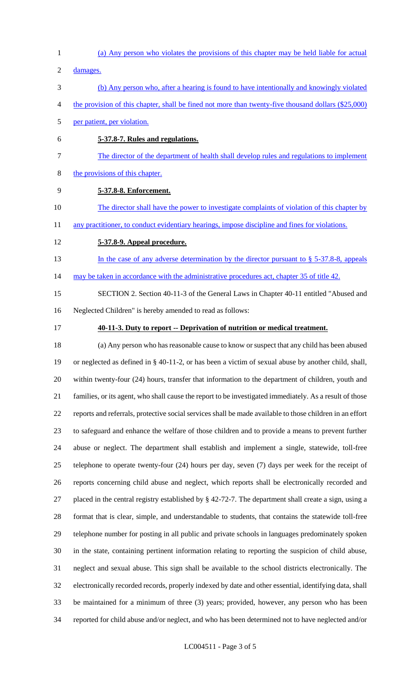- (a) Any person who violates the provisions of this chapter may be held liable for actual
- damages.
- (b) Any person who, after a hearing is found to have intentionally and knowingly violated
- 4 the provision of this chapter, shall be fined not more than twenty-five thousand dollars (\$25,000)
- per patient, per violation.
- **5-37.8-7. Rules and regulations.**
- The director of the department of health shall develop rules and regulations to implement
- the provisions of this chapter.
- **5-37.8-8. Enforcement.**
- 10 The director shall have the power to investigate complaints of violation of this chapter by

11 any practitioner, to conduct evidentiary hearings, impose discipline and fines for violations.

- **5-37.8-9. Appeal procedure.**
- 13 In the case of any adverse determination by the director pursuant to § 5-37.8-8, appeals
- 14 may be taken in accordance with the administrative procedures act, chapter 35 of title 42.
- SECTION 2. Section 40-11-3 of the General Laws in Chapter 40-11 entitled "Abused and Neglected Children" is hereby amended to read as follows:
- 

#### **40-11-3. Duty to report -- Deprivation of nutrition or medical treatment.**

 (a) Any person who has reasonable cause to know or suspect that any child has been abused or neglected as defined in § 40-11-2, or has been a victim of sexual abuse by another child, shall, within twenty-four (24) hours, transfer that information to the department of children, youth and families, or its agent, who shall cause the report to be investigated immediately. As a result of those reports and referrals, protective social services shall be made available to those children in an effort to safeguard and enhance the welfare of those children and to provide a means to prevent further abuse or neglect. The department shall establish and implement a single, statewide, toll-free telephone to operate twenty-four (24) hours per day, seven (7) days per week for the receipt of reports concerning child abuse and neglect, which reports shall be electronically recorded and placed in the central registry established by § 42-72-7. The department shall create a sign, using a format that is clear, simple, and understandable to students, that contains the statewide toll-free telephone number for posting in all public and private schools in languages predominately spoken in the state, containing pertinent information relating to reporting the suspicion of child abuse, neglect and sexual abuse. This sign shall be available to the school districts electronically. The electronically recorded records, properly indexed by date and other essential, identifying data, shall be maintained for a minimum of three (3) years; provided, however, any person who has been reported for child abuse and/or neglect, and who has been determined not to have neglected and/or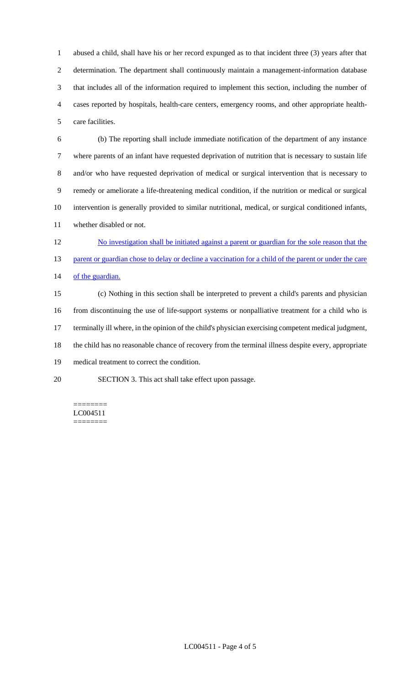abused a child, shall have his or her record expunged as to that incident three (3) years after that determination. The department shall continuously maintain a management-information database that includes all of the information required to implement this section, including the number of cases reported by hospitals, health-care centers, emergency rooms, and other appropriate health-care facilities.

 (b) The reporting shall include immediate notification of the department of any instance where parents of an infant have requested deprivation of nutrition that is necessary to sustain life and/or who have requested deprivation of medical or surgical intervention that is necessary to remedy or ameliorate a life-threatening medical condition, if the nutrition or medical or surgical intervention is generally provided to similar nutritional, medical, or surgical conditioned infants, whether disabled or not.

 No investigation shall be initiated against a parent or guardian for the sole reason that the 13 parent or guardian chose to delay or decline a vaccination for a child of the parent or under the care 14 of the guardian.

 (c) Nothing in this section shall be interpreted to prevent a child's parents and physician from discontinuing the use of life-support systems or nonpalliative treatment for a child who is terminally ill where, in the opinion of the child's physician exercising competent medical judgment, the child has no reasonable chance of recovery from the terminal illness despite every, appropriate medical treatment to correct the condition. SECTION 3. This act shall take effect upon passage.

======== LC004511

========